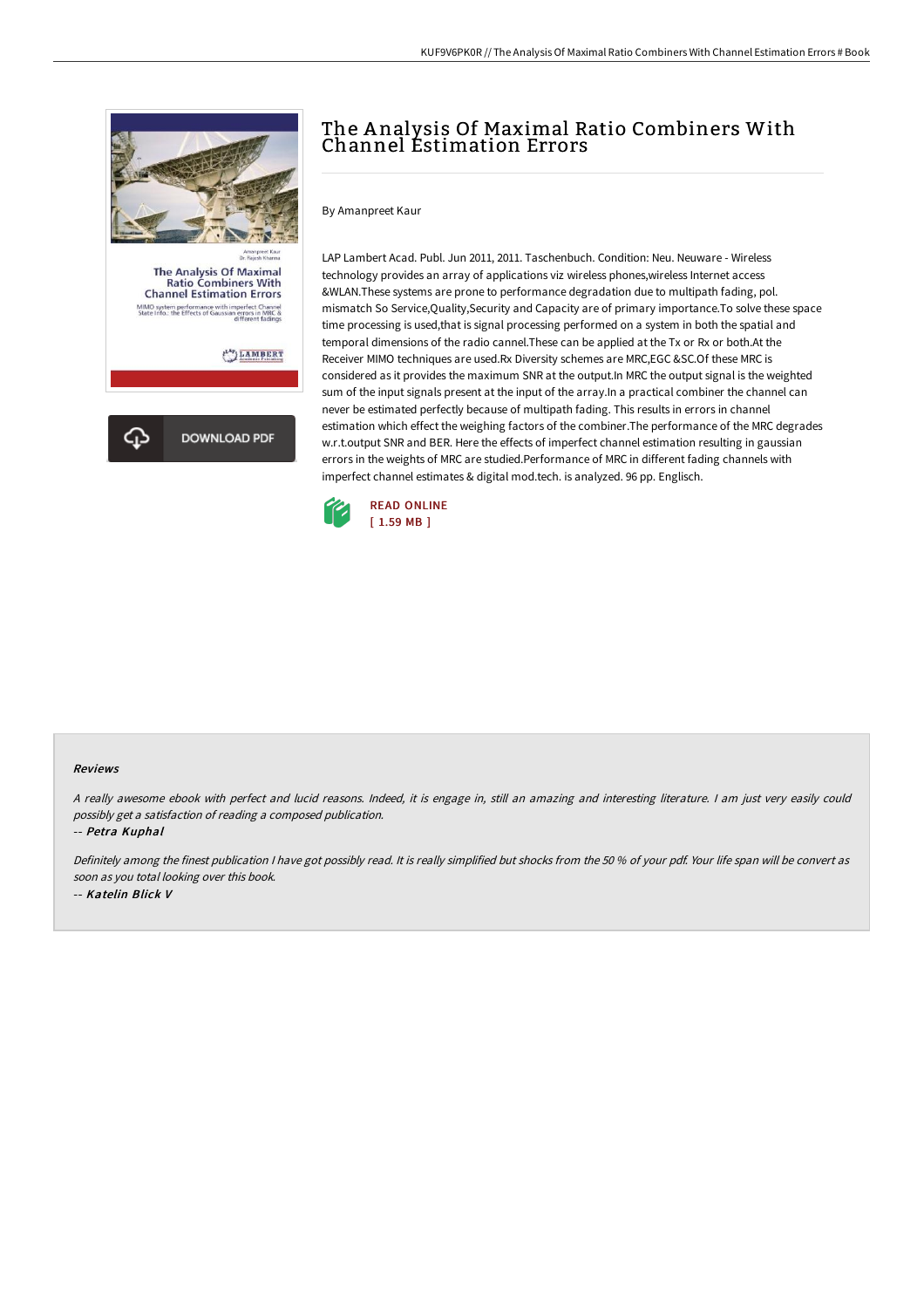

# The Analysis Of Maximal Ratio Combiners With Channel Estimation Errors

By Amanpreet Kaur

LAP Lambert Acad. Publ. Jun 2011, 2011. Taschenbuch. Condition: Neu. Neuware - Wireless technology provides an array of applications viz wireless phones,wireless Internet access &WLAN.These systems are prone to performance degradation due to multipath fading, pol. mismatch So Service,Quality,Security and Capacity are of primary importance.To solve these space time processing is used,that is signal processing performed on a system in both the spatial and temporal dimensions of the radio cannel.These can be applied at the Tx or Rx or both.At the Receiver MIMO techniques are used.Rx Diversity schemes are MRC,EGC &SC.Of these MRC is considered as it provides the maximum SNR at the output.In MRC the output signal is the weighted sum of the input signals present at the input of the array.In a practical combiner the channel can never be estimated perfectly because of multipath fading. This results in errors in channel estimation which effect the weighing factors of the combiner.The performance of the MRC degrades w.r.t.output SNR and BER. Here the effects of imperfect channel estimation resulting in gaussian errors in the weights of MRC are studied.Performance of MRC in different fading channels with imperfect channel estimates & digital mod.tech. is analyzed. 96 pp. Englisch.



#### Reviews

<sup>A</sup> really awesome ebook with perfect and lucid reasons. Indeed, it is engage in, still an amazing and interesting literature. <sup>I</sup> am just very easily could possibly get <sup>a</sup> satisfaction of reading <sup>a</sup> composed publication.

-- Petra Kuphal

Definitely among the finest publication <sup>I</sup> have got possibly read. It is really simplified but shocks from the <sup>50</sup> % of your pdf. Your life span will be convert as soon as you total looking over this book. -- Katelin Blick V